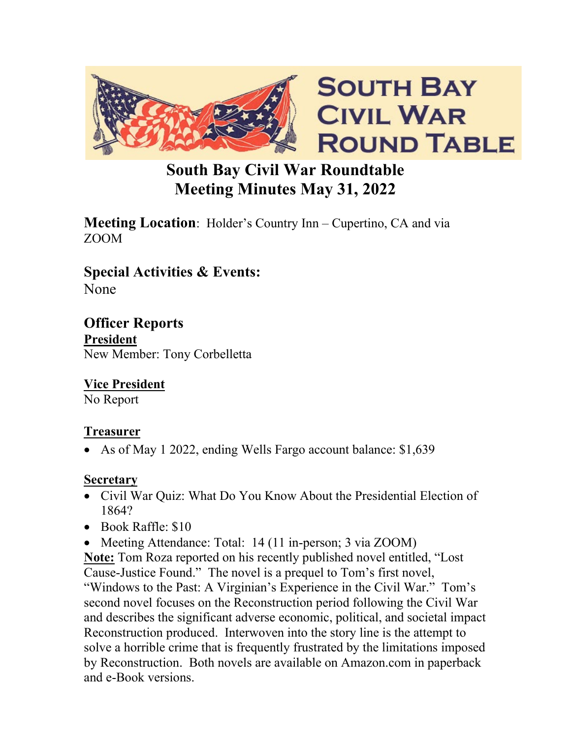

# **South Bay Civil War Roundtable Meeting Minutes May 31, 2022**

**Meeting Location:** Holder's Country Inn – Cupertino, CA and via ZOOM

**Special Activities & Events:**  None

**Officer Reports President** New Member: Tony Corbelletta

**Vice President**  No Report

#### **Treasurer**

• As of May 1 2022, ending Wells Fargo account balance: \$1,639

#### **Secretary**

- Civil War Quiz: What Do You Know About the Presidential Election of 1864?
- Book Raffle: \$10
- Meeting Attendance: Total: 14 (11 in-person; 3 via ZOOM)

**Note:** Tom Roza reported on his recently published novel entitled, "Lost Cause-Justice Found." The novel is a prequel to Tom's first novel, "Windows to the Past: A Virginian's Experience in the Civil War." Tom's second novel focuses on the Reconstruction period following the Civil War and describes the significant adverse economic, political, and societal impact Reconstruction produced. Interwoven into the story line is the attempt to solve a horrible crime that is frequently frustrated by the limitations imposed by Reconstruction. Both novels are available on Amazon.com in paperback and e-Book versions.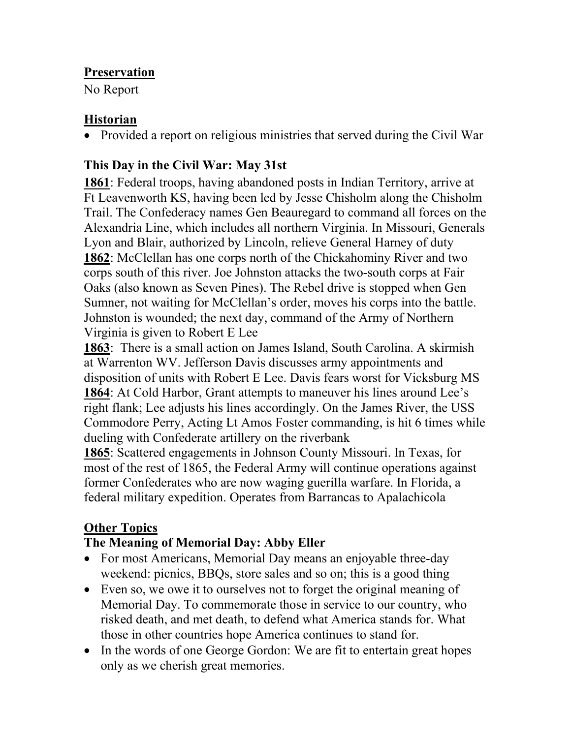#### **Preservation**

No Report

### **Historian**

• Provided a report on religious ministries that served during the Civil War

# **This Day in the Civil War: May 31st**

**1861**: Federal troops, having abandoned posts in Indian Territory, arrive at Ft Leavenworth KS, having been led by Jesse Chisholm along the Chisholm Trail. The Confederacy names Gen Beauregard to command all forces on the Alexandria Line, which includes all northern Virginia. In Missouri, Generals Lyon and Blair, authorized by Lincoln, relieve General Harney of duty **1862**: McClellan has one corps north of the Chickahominy River and two corps south of this river. Joe Johnston attacks the two-south corps at Fair Oaks (also known as Seven Pines). The Rebel drive is stopped when Gen Sumner, not waiting for McClellan's order, moves his corps into the battle. Johnston is wounded; the next day, command of the Army of Northern Virginia is given to Robert E Lee

**1863**: There is a small action on James Island, South Carolina. A skirmish at Warrenton WV. Jefferson Davis discusses army appointments and disposition of units with Robert E Lee. Davis fears worst for Vicksburg MS **1864**: At Cold Harbor, Grant attempts to maneuver his lines around Lee's right flank; Lee adjusts his lines accordingly. On the James River, the USS Commodore Perry, Acting Lt Amos Foster commanding, is hit 6 times while dueling with Confederate artillery on the riverbank

**1865**: Scattered engagements in Johnson County Missouri. In Texas, for most of the rest of 1865, the Federal Army will continue operations against former Confederates who are now waging guerilla warfare. In Florida, a federal military expedition. Operates from Barrancas to Apalachicola

### **Other Topics**

### **The Meaning of Memorial Day: Abby Eller**

- For most Americans, Memorial Day means an enjoyable three-day weekend: picnics, BBQs, store sales and so on; this is a good thing
- Even so, we owe it to ourselves not to forget the original meaning of Memorial Day. To commemorate those in service to our country, who risked death, and met death, to defend what America stands for. What those in other countries hope America continues to stand for.
- In the words of one George Gordon: We are fit to entertain great hopes only as we cherish great memories.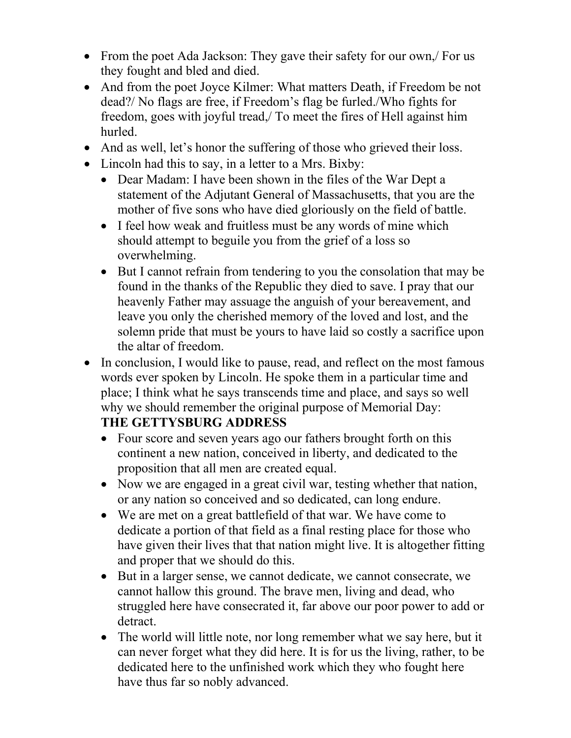- From the poet Ada Jackson: They gave their safety for our own, For us they fought and bled and died.
- And from the poet Joyce Kilmer: What matters Death, if Freedom be not dead?/ No flags are free, if Freedom's flag be furled./Who fights for freedom, goes with joyful tread,/ To meet the fires of Hell against him hurled.
- And as well, let's honor the suffering of those who grieved their loss.
- Lincoln had this to say, in a letter to a Mrs. Bixby:
	- Dear Madam: I have been shown in the files of the War Dept a statement of the Adjutant General of Massachusetts, that you are the mother of five sons who have died gloriously on the field of battle.
	- I feel how weak and fruitless must be any words of mine which should attempt to beguile you from the grief of a loss so overwhelming.
	- But I cannot refrain from tendering to you the consolation that may be found in the thanks of the Republic they died to save. I pray that our heavenly Father may assuage the anguish of your bereavement, and leave you only the cherished memory of the loved and lost, and the solemn pride that must be yours to have laid so costly a sacrifice upon the altar of freedom.
- In conclusion, I would like to pause, read, and reflect on the most famous words ever spoken by Lincoln. He spoke them in a particular time and place; I think what he says transcends time and place, and says so well why we should remember the original purpose of Memorial Day:

#### **THE GETTYSBURG ADDRESS**

- Four score and seven years ago our fathers brought forth on this continent a new nation, conceived in liberty, and dedicated to the proposition that all men are created equal.
- Now we are engaged in a great civil war, testing whether that nation, or any nation so conceived and so dedicated, can long endure.
- We are met on a great battlefield of that war. We have come to dedicate a portion of that field as a final resting place for those who have given their lives that that nation might live. It is altogether fitting and proper that we should do this.
- But in a larger sense, we cannot dedicate, we cannot consecrate, we cannot hallow this ground. The brave men, living and dead, who struggled here have consecrated it, far above our poor power to add or detract.
- The world will little note, nor long remember what we say here, but it can never forget what they did here. It is for us the living, rather, to be dedicated here to the unfinished work which they who fought here have thus far so nobly advanced.